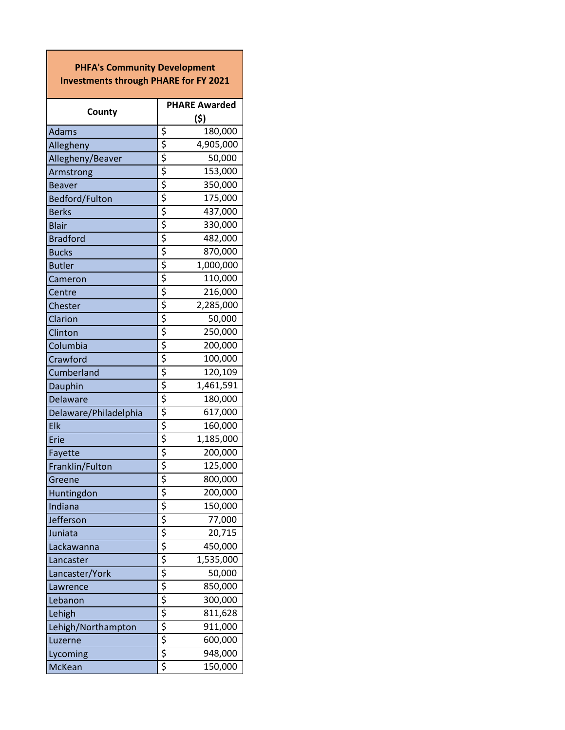| <b>PHFA's Community Development</b><br><b>Investments through PHARE for FY 2021</b> |                                                   |  |
|-------------------------------------------------------------------------------------|---------------------------------------------------|--|
| County                                                                              | <b>PHARE Awarded</b><br>(\$)                      |  |
| <b>Adams</b>                                                                        | \$<br>180,000                                     |  |
| Allegheny                                                                           | 4,905,000                                         |  |
| Allegheny/Beaver                                                                    | 50,000                                            |  |
| Armstrong                                                                           | 153,000                                           |  |
| <b>Beaver</b>                                                                       | 350,000                                           |  |
| Bedford/Fulton                                                                      | 175,000                                           |  |
| <b>Berks</b>                                                                        | 437,000                                           |  |
| <b>Blair</b>                                                                        | 330,000                                           |  |
| <b>Bradford</b>                                                                     | 482,000                                           |  |
| <b>Bucks</b>                                                                        | 870,000                                           |  |
| <b>Butler</b>                                                                       | 1,000,000                                         |  |
| Cameron                                                                             | 110,000                                           |  |
| Centre                                                                              | 216,000                                           |  |
| Chester                                                                             | 2,285,000                                         |  |
| Clarion                                                                             | 50,000                                            |  |
| Clinton                                                                             | 250,000                                           |  |
| Columbia                                                                            | 200,000                                           |  |
| Crawford                                                                            | 100,000                                           |  |
| Cumberland                                                                          | 120,109                                           |  |
| Dauphin                                                                             | 1,461,591                                         |  |
| Delaware                                                                            | 180,000                                           |  |
| Delaware/Philadelphia                                                               | 617,000                                           |  |
| Elk                                                                                 | 160,000                                           |  |
| Erie                                                                                | 1,185,000                                         |  |
| Fayette                                                                             | 200,000                                           |  |
| Franklin/Fulton                                                                     | 125,000                                           |  |
| Greene                                                                              | 800,000                                           |  |
| Huntingdon                                                                          | 200,000                                           |  |
| Indiana                                                                             | 150,000                                           |  |
| Jefferson                                                                           | 77,000                                            |  |
| Juniata                                                                             | 20,715                                            |  |
| Lackawanna                                                                          | 450,000                                           |  |
| Lancaster                                                                           | 1,535,000                                         |  |
| Lancaster/York                                                                      | 50,000                                            |  |
| Lawrence                                                                            | \$ \$ \$ \$ \$ \$ \$ \$ \$ \$ \$ \$ \$<br>850,000 |  |
| Lebanon                                                                             | 300,000                                           |  |
| Lehigh                                                                              | 811,628                                           |  |
| Lehigh/Northampton                                                                  | 911,000                                           |  |
| Luzerne                                                                             | 600,000                                           |  |
| Lycoming                                                                            | 948,000                                           |  |
| McKean                                                                              | 150,000                                           |  |